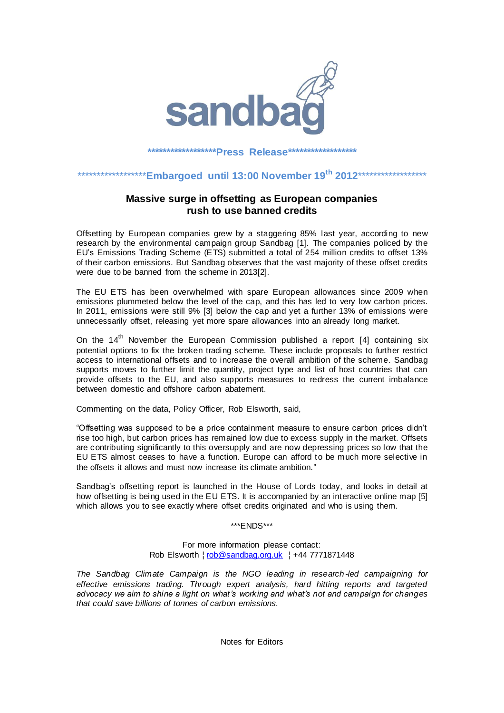

## **\*\*\*\*\*\*\*\*\*\*\*\*\*\*\*\*\*\*Press Release\*\*\*\*\*\*\*\*\*\*\*\*\*\*\*\*\*\***

## \*\*\*\*\*\*\*\*\*\*\*\*\*\*\*\*\*\***Embargoed until 13:00 November 19th 2012**\*\*\*\*\*\*\*\*\*\*\*\*\*\*\*\*\*\*

## **Massive surge in offsetting as European companies rush to use banned credits**

Offsetting by European companies grew by a staggering 85% last year, according to new research by the environmental campaign group Sandbag [1]. The companies policed by the EU's Emissions Trading Scheme (ETS) submitted a total of 254 million credits to offset 13% of their carbon emissions. But Sandbag observes that the vast majority of these offset credits were due to be banned from the scheme in 2013[2].

The EU ETS has been overwhelmed with spare European allowances since 2009 when emissions plummeted below the level of the cap, and this has led to very low carbon prices. In 2011, emissions were still 9% [3] below the cap and yet a further 13% of emissions were unnecessarily offset, releasing yet more spare allowances into an already long market.

On the  $14<sup>th</sup>$  November the European Commission published a report [4] containing six potential options to fix the broken trading scheme. These include proposals to further restrict access to international offsets and to increase the overall ambition of the scheme. Sandbag supports moves to further limit the quantity, project type and list of host countries that can provide offsets to the EU, and also supports measures to redress the current imbalance between domestic and offshore carbon abatement.

Commenting on the data, Policy Officer, Rob Elsworth, said,

"Offsetting was supposed to be a price containment measure to ensure carbon prices didn't rise too high, but carbon prices has remained low due to excess supply in the market. Offsets are contributing significantly to this oversupply and are now depressing prices so low that the EU ETS almost ceases to have a function. Europe can afford to be much more selective in the offsets it allows and must now increase its climate ambition."

Sandbag's offsetting report is launched in the House of Lords today, and looks in detail at how offsetting is being used in the EU ETS. It is accompanied by an interactive online map [5] which allows you to see exactly where offset credits originated and who is using them.

## \*\*\*ENDS\*\*\*

For more information please contact: Rob Elsworth | rob@sandbag.org.uk | +44 7771871448

*The Sandbag Climate Campaign is the NGO leading in research -led campaigning for effective emissions trading. Through expert analysis, hard hitting reports and targeted advocacy we aim to shine a light on what's working and what's not and campaign for changes that could save billions of tonnes of carbon emissions.*